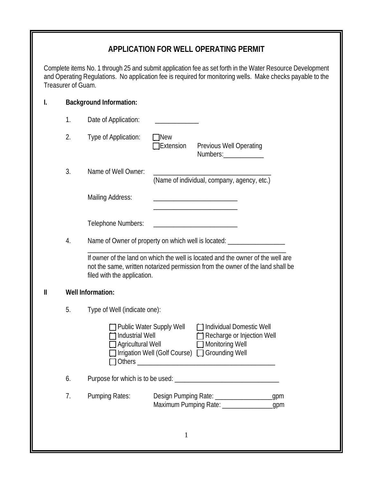## **APPLICATION FOR WELL OPERATING PERMIT**

Complete items No. 1 through 25 and submit application fee as set forth in the Water Resource Development and Operating Regulations. No application fee is required for monitoring wells. Make checks payable to the Treasurer of Guam.

|    | <b>Background Information:</b>                                             |                                                                                                                                                                   |  |
|----|----------------------------------------------------------------------------|-------------------------------------------------------------------------------------------------------------------------------------------------------------------|--|
| 1. | Date of Application:                                                       |                                                                                                                                                                   |  |
| 2. | Type of Application:                                                       | <b>New</b><br><b>Extension</b><br>Previous Well Operating<br>Numbers:______________                                                                               |  |
| 3. | Name of Well Owner:                                                        | (Name of individual, company, agency, etc.)                                                                                                                       |  |
|    | <b>Mailing Address:</b>                                                    |                                                                                                                                                                   |  |
|    | Telephone Numbers:                                                         |                                                                                                                                                                   |  |
| 4. | Name of Owner of property on which well is located: ______________________ |                                                                                                                                                                   |  |
|    | filed with the application.                                                | If owner of the land on which the well is located and the owner of the well are<br>not the same, written notarized permission from the owner of the land shall be |  |
|    | <b>Well Information:</b>                                                   |                                                                                                                                                                   |  |
| 5. | Type of Well (indicate one):                                               |                                                                                                                                                                   |  |
|    | Industrial Well<br>Agricultural Well<br>Others _______________             | Individual Domestic Well<br>Public Water Supply Well<br>Recharge or Injection Well<br>Monitoring Well<br>Irrigation Well (Golf Course) □ Grounding Well           |  |
| 6. |                                                                            |                                                                                                                                                                   |  |
| 7. | <b>Pumping Rates:</b>                                                      | Design Pumping Rate: ____________________gpm<br>Maximum Pumping Rate: ____________________gpm                                                                     |  |
|    |                                                                            |                                                                                                                                                                   |  |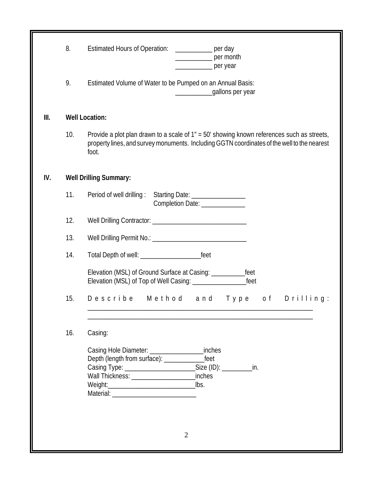|     | 8.  | <b>Estimated Hours of Operation:</b><br>$\frac{1}{2}$ per day<br>per month<br>per year                                                                                                                                                               |
|-----|-----|------------------------------------------------------------------------------------------------------------------------------------------------------------------------------------------------------------------------------------------------------|
|     | 9.  | Estimated Volume of Water to be Pumped on an Annual Basis:<br>gallons per year<br>$\frac{1}{2}$ . The contract of the contract of $\frac{1}{2}$                                                                                                      |
| Ⅲ.  |     | <b>Well Location:</b>                                                                                                                                                                                                                                |
|     | 10. | Provide a plot plan drawn to a scale of 1" = 50' showing known references such as streets,<br>property lines, and survey monuments. Including GGTN coordinates of the well to the nearest<br>foot.                                                   |
| IV. |     | <b>Well Drilling Summary:</b>                                                                                                                                                                                                                        |
|     | 11. | Period of well drilling :<br>Starting Date: __________________<br>Completion Date: ______________                                                                                                                                                    |
|     | 12. |                                                                                                                                                                                                                                                      |
|     | 13. |                                                                                                                                                                                                                                                      |
|     | 14. |                                                                                                                                                                                                                                                      |
|     |     | Elevation (MSL) of Ground Surface at Casing: _________<br>feet<br>Elevation (MSL) of Top of Well Casing: ________________<br>feet                                                                                                                    |
|     | 15. | Describe Method and<br>Type of Drilling:                                                                                                                                                                                                             |
|     | 16. | Casing:                                                                                                                                                                                                                                              |
|     |     | inches<br>Casing Hole Diameter: __________________<br>feet<br>Depth (length from surface): _______<br>Casing Type: __________________________________Size (ID): ______________________<br>in.<br>inches<br>Weight: Weight:<br>lbs.<br>$\overline{2}$ |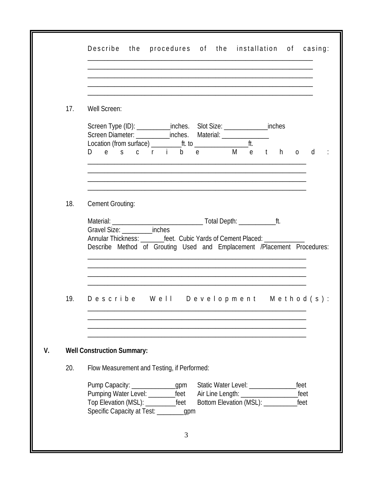| 17. | Well Screen:                                                                                                                                                                                                                                                      |
|-----|-------------------------------------------------------------------------------------------------------------------------------------------------------------------------------------------------------------------------------------------------------------------|
|     | Screen Type (ID): ____________inches. Slot Size: _________________inches                                                                                                                                                                                          |
|     | D e s c r i<br>b e M<br>d d<br>e th<br>$\Omega$                                                                                                                                                                                                                   |
|     |                                                                                                                                                                                                                                                                   |
| 18. | <b>Cement Grouting:</b>                                                                                                                                                                                                                                           |
|     | Gravel Size: ____________inches<br>Annular Thickness: __________feet. Cubic Yards of Cement Placed: ____________                                                                                                                                                  |
|     | Describe Method of Grouting Used and Emplacement /Placement Procedures:                                                                                                                                                                                           |
|     |                                                                                                                                                                                                                                                                   |
|     |                                                                                                                                                                                                                                                                   |
| 19. | Describe Well Development Method(s):                                                                                                                                                                                                                              |
|     |                                                                                                                                                                                                                                                                   |
|     | <b>Well Construction Summary:</b>                                                                                                                                                                                                                                 |
| 20. | Flow Measurement and Testing, if Performed:                                                                                                                                                                                                                       |
|     | Pump Capacity: _______________gpm<br>Static Water Level: ______________<br>feet<br>Pumping Water Level: ___________feet<br>feet<br>Top Elevation (MSL): _____________feet<br>Bottom Elevation (MSL): _________<br>feet<br>Specific Capacity at Test: _________gpm |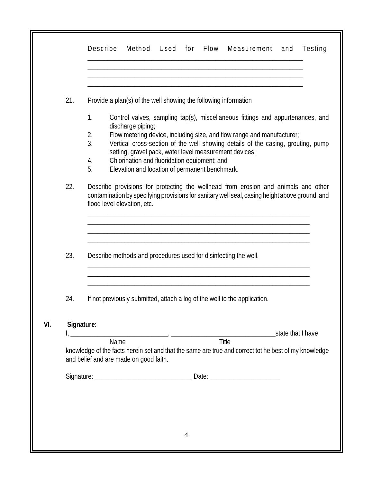| 21. | Provide a plan(s) of the well showing the following information                                                                                                                                                     |  |  |  |  |
|-----|---------------------------------------------------------------------------------------------------------------------------------------------------------------------------------------------------------------------|--|--|--|--|
|     | 1.<br>Control valves, sampling tap(s), miscellaneous fittings and appurtenances, and                                                                                                                                |  |  |  |  |
|     | discharge piping;                                                                                                                                                                                                   |  |  |  |  |
|     | Flow metering device, including size, and flow range and manufacturer;<br>2.<br>3.<br>Vertical cross-section of the well showing details of the casing, grouting, pump                                              |  |  |  |  |
|     | setting, gravel pack, water level measurement devices;                                                                                                                                                              |  |  |  |  |
|     | Chlorination and fluoridation equipment; and<br>4.                                                                                                                                                                  |  |  |  |  |
|     | 5.<br>Elevation and location of permanent benchmark.                                                                                                                                                                |  |  |  |  |
|     | Describe provisions for protecting the wellhead from erosion and animals and other<br>contamination by specifying provisions for sanitary well seal, casing height above ground, and<br>flood level elevation, etc. |  |  |  |  |
| 23. | Describe methods and procedures used for disinfecting the well.                                                                                                                                                     |  |  |  |  |
| 24. | If not previously submitted, attach a log of the well to the application.                                                                                                                                           |  |  |  |  |
|     | Signature:                                                                                                                                                                                                          |  |  |  |  |
|     | Title<br>Name                                                                                                                                                                                                       |  |  |  |  |
|     | knowledge of the facts herein set and that the same are true and correct tot he best of my knowledge<br>and belief and are made on good faith.                                                                      |  |  |  |  |
|     |                                                                                                                                                                                                                     |  |  |  |  |
|     |                                                                                                                                                                                                                     |  |  |  |  |